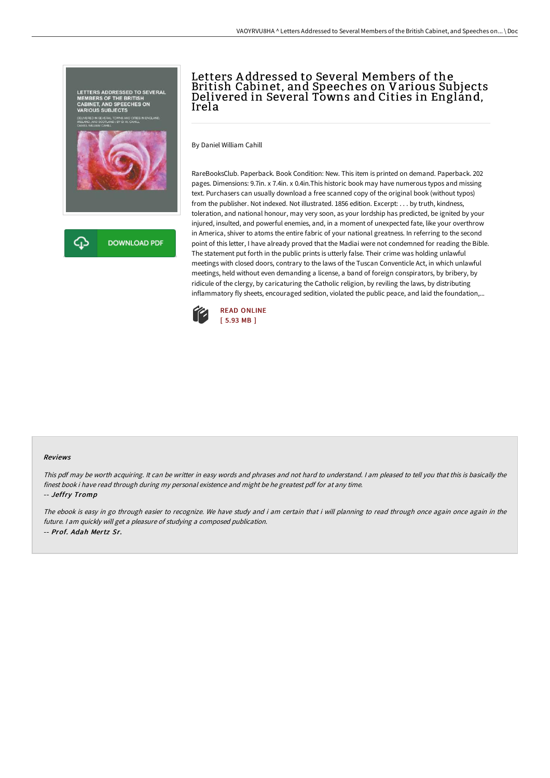

## Letters A ddressed to Several Members of the British Cabinet, and Speeches on Various Subjects Delivered in Several Towns and Cities in England, Irela

By Daniel William Cahill

RareBooksClub. Paperback. Book Condition: New. This item is printed on demand. Paperback. 202 pages. Dimensions: 9.7in. x 7.4in. x 0.4in.This historic book may have numerous typos and missing text. Purchasers can usually download a free scanned copy of the original book (without typos) from the publisher. Not indexed. Not illustrated. 1856 edition. Excerpt: . . . by truth, kindness, toleration, and national honour, may very soon, as your lordship has predicted, be ignited by your injured, insulted, and powerful enemies, and, in a moment of unexpected fate, like your overthrow in America, shiver to atoms the entire fabric of your national greatness. In referring to the second point of this letter, I have already proved that the Madiai were not condemned for reading the Bible. The statement put forth in the public prints is utterly false. Their crime was holding unlawful meetings with closed doors, contrary to the laws of the Tuscan Conventicle Act, in which unlawful meetings, held without even demanding a license, a band of foreign conspirators, by bribery, by ridicule of the clergy, by caricaturing the Catholic religion, by reviling the laws, by distributing inflammatory fly sheets, encouraged sedition, violated the public peace, and laid the foundation,...



## Reviews

This pdf may be worth acquiring. It can be writter in easy words and phrases and not hard to understand. <sup>I</sup> am pleased to tell you that this is basically the finest book i have read through during my personal existence and might be he greatest pdf for at any time. -- Jeffry Tromp

The ebook is easy in go through easier to recognize. We have study and i am certain that i will planning to read through once again once again in the future. <sup>I</sup> am quickly will get <sup>a</sup> pleasure of studying <sup>a</sup> composed publication. -- Prof. Adah Mertz Sr.